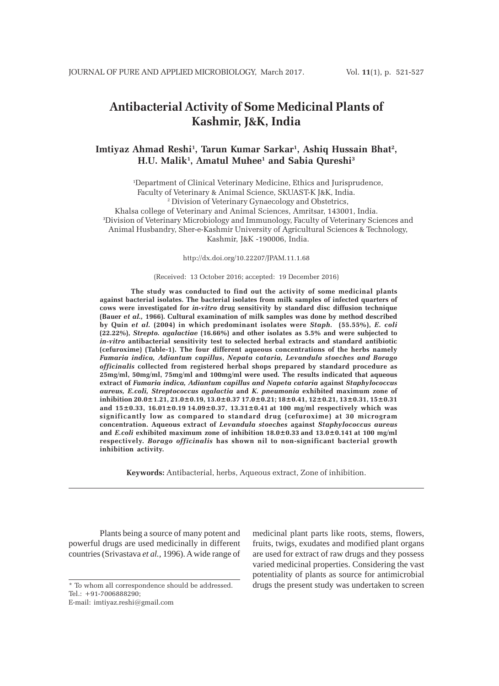# **Antibacterial Activity of Some Medicinal Plants of Kashmir, J&K, India**

# **Imtiyaz Ahmad Reshi1 , Tarun Kumar Sarkar1 , Ashiq Hussain Bhat2 , H.U. Malik1 , Amatul Muhee1 and Sabia Qureshi3**

1 Department of Clinical Veterinary Medicine, Ethics and Jurisprudence, Faculty of Veterinary & Animal Science, SKUAST-K J&K, India. 2 Division of Veterinary Gynaecology and Obstetrics, Khalsa college of Veterinary and Animal Sciences, Amritsar, 143001, India. 3 Division of Veterinary Microbiology and Immunology, Faculty of Veterinary Sciences and Animal Husbandry, Sher-e-Kashmir University of Agricultural Sciences & Technology, Kashmir, J&K -190006, India.

http://dx.doi.org/10.22207/JPAM.11.1.68

### (Received: 13 October 2016; accepted: 19 December 2016)

**The study was conducted to find out the activity of some medicinal plants against bacterial isolates. The bacterial isolates from milk samples of infected quarters of cows were investigated for** *in-vitro* **drug sensitivity by standard disc diffusion technique (Bauer** *et al.,* **1966). Cultural examination of milk samples was done by method described by Quin** *et al.* **(2004) in which predominant isolates were** *Staph.* **(55.55%),** *E. coli* **(22.22%),** *Strepto. agalactiae* **(16.66%) and other isolates as 5.5% and were subjected to** *in-vitro* **antibacterial sensitivity test to selected herbal extracts and standard antibiotic (cefuroxime) (Table-1). The four different aqueous concentrations of the herbs namely** *Fumaria indica, Adiantum capillus***,** *Nepata cataria, Levandula stoeches and Borago officinalis* **collected from registered herbal shops prepared by standard procedure as 25mg/ml, 50mg/ml, 75mg/ml and 100mg/ml were used***.* **The results indicated that aqueous extract of** *Fumaria indica, Adiantum capillus and Napeta cataria* **against** *Staphylococcus aureus, E.coli, Streptococcus agalactia* **and** *K. pneumonia* **exhibited maximum zone of inhibition 20.0±1.21, 21.0±0.19, 13.0±0.37 17.0±0.21; 18±0.41, 12±0.21, 13±0.31, 15±0.31 and 15±0.33, 16.01±0.19 14.09±0.37, 13.31±0.41 at 100 mg/ml respectively which was significantly low as compared to standard drug (cefuroxime) at 30 microgram concentration. Aqueous extract of** *Levandula stoeches* **against** *Staphylococcus aureus* **and** *E.coli* **exhibited maximum zone of inhibition 18.0±0.33 and 13.0±0.141 at 100 mg/ml respectively.** *Borago officinalis* **has shown nil to non-significant bacterial growth inhibition activity.**

**Keywords:** Antibacterial, herbs, Aqueous extract, Zone of inhibition.

Plants being a source of many potent and powerful drugs are used medicinally in different countries (Srivastava *et al.,* 1996). A wide range of

\* To whom all correspondence should be addressed. Tel.: +91-7006888290;

E-mail: imtiyaz.reshi@gmail.com

medicinal plant parts like roots, stems, flowers, fruits, twigs, exudates and modified plant organs are used for extract of raw drugs and they possess varied medicinal properties. Considering the vast potentiality of plants as source for antimicrobial drugs the present study was undertaken to screen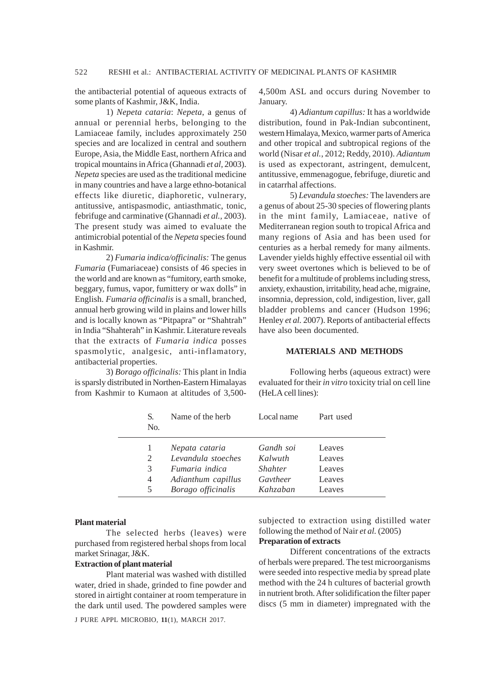the antibacterial potential of aqueous extracts of some plants of Kashmir, J&K, India.

1) *Nepeta cataria*: *Nepeta*, a genus of annual or perennial herbs, belonging to the Lamiaceae family, includes approximately 250 species and are localized in central and southern Europe, Asia, the Middle East, northern Africa and tropical mountains in Africa (Ghannadi *et al,* 2003). *Nepeta* species are used as the traditional medicine in many countries and have a large ethno-botanical effects like diuretic, diaphoretic, vulnerary, antitussive, antispasmodic, antiasthmatic, tonic, febrifuge and carminative (Ghannadi *et al.,* 2003). The present study was aimed to evaluate the antimicrobial potential of the *Nepeta* species found in Kashmir.

2) *Fumaria indica/officinalis:* The genus *Fumaria* (Fumariaceae) consists of 46 species in the world and are known as "fumitory, earth smoke, beggary, fumus, vapor, fumittery or wax dolls" in English. *Fumaria officinalis* is a small, branched, annual herb growing wild in plains and lower hills and is locally known as "Pitpapra" or "Shahtrah" in India "Shahterah" in Kashmir. Literature reveals that the extracts of *Fumaria indica* posses spasmolytic, analgesic, anti-inflamatory, antibacterial properties.

3) *Borago officinalis:* This plant in India is sparsly distributed in Northen-Eastern Himalayas from Kashmir to Kumaon at altitudes of 3,5004,500m ASL and occurs during November to January.

4) *Adiantum capillus:* It has a worldwide distribution, found in Pak-Indian subcontinent, western Himalaya, Mexico, warmer parts of America and other tropical and subtropical regions of the world (Nisar *et al.*, 2012; Reddy, 2010). *Adiantum* is used as expectorant, astringent, demulcent, antitussive, emmenagogue, febrifuge, diuretic and in catarrhal affections.

5) *Levandula stoeches:* The lavenders are a genus of about 25-30 species of flowering plants in the mint family, Lamiaceae, native of Mediterranean region south to tropical Africa and many regions of Asia and has been used for centuries as a herbal remedy for many ailments. Lavender yields highly effective essential oil with very sweet overtones which is believed to be of benefit for a multitude of problems including stress, anxiety, exhaustion, irritability, head ache, migraine, insomnia, depression, cold, indigestion, liver, gall bladder problems and cancer (Hudson 1996; Henley *et al.* 2007). Reports of antibacterial effects have also been documented.

### **MATERIALS AND METHODS**

Following herbs (aqueous extract) were evaluated for their *in vitro* toxicity trial on cell line (HeLA cell lines):

| S.<br>No. | Name of the herb   | Local name | Part used |
|-----------|--------------------|------------|-----------|
|           | Nepata cataria     | Gandh soi  | Leaves    |
| 2         | Levandula stoeches | Kalwuth    | Leaves    |
| 3         | Fumaria indica     | Shahter    | Leaves    |
| 4         | Adianthum capillus | Gaytheer   | Leaves    |
| 5.        | Borago officinalis | Kahzaban   | Leaves    |

#### **Plant material**

The selected herbs (leaves) were purchased from registered herbal shops from local market Srinagar, J&K.

#### **Extraction of plant material**

Plant material was washed with distilled water, dried in shade, grinded to fine powder and stored in airtight container at room temperature in the dark until used. The powdered samples were

J PURE APPL MICROBIO*,* **11**(1), MARCH 2017.

subjected to extraction using distilled water following the method of Nair *et al.* (2005)

# **Preparation of extracts**

Different concentrations of the extracts of herbals were prepared. The test microorganisms were seeded into respective media by spread plate method with the 24 h cultures of bacterial growth in nutrient broth. After solidification the filter paper discs (5 mm in diameter) impregnated with the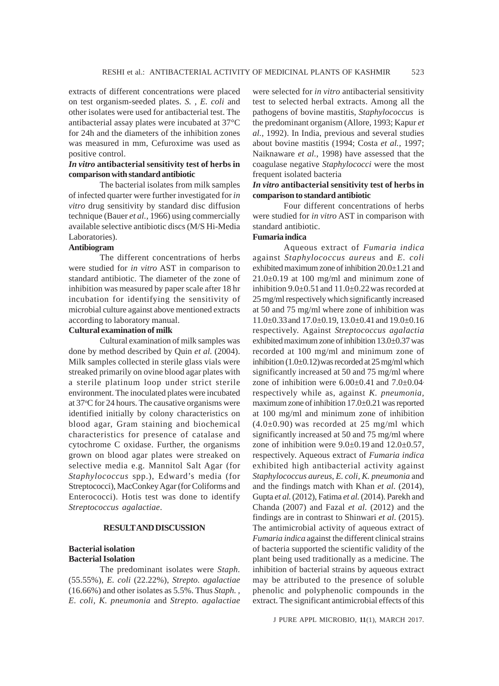extracts of different concentrations were placed on test organism-seeded plates. *S.* , *E. coli* and other isolates were used for antibacterial test. The antibacterial assay plates were incubated at 37°C for 24h and the diameters of the inhibition zones was measured in mm, Cefuroxime was used as positive control.

### *In vitro* **antibacterial sensitivity test of herbs in comparison with standard antibiotic**

The bacterial isolates from milk samples of infected quarter were further investigated for *in vitro* drug sensitivity by standard disc diffusion technique (Bauer *et al.,* 1966) using commercially available selective antibiotic discs (M/S Hi-Media Laboratories).

# **Antibiogram**

The different concentrations of herbs were studied for *in vitro* AST in comparison to standard antibiotic. The diameter of the zone of inhibition was measured by paper scale after 18 hr incubation for identifying the sensitivity of microbial culture against above mentioned extracts according to laboratory manual.

# **Cultural examination of milk**

Cultural examination of milk samples was done by method described by Quin *et al.* (2004). Milk samples collected in sterile glass vials were streaked primarily on ovine blood agar plates with a sterile platinum loop under strict sterile environment. The inoculated plates were incubated at 37°C for 24 hours. The causative organisms were identified initially by colony characteristics on blood agar, Gram staining and biochemical characteristics for presence of catalase and cytochrome C oxidase. Further, the organisms grown on blood agar plates were streaked on selective media e.g. Mannitol Salt Agar (for *Staphylococcus* spp.), Edward's media (for Streptococci), MacConkey Agar (for Coliforms and Enterococci). Hotis test was done to identify *Streptococcus agalactiae*.

### **RESULT AND DISCUSSION**

## **Bacterial isolation Bacterial Isolation**

The predominant isolates were *Staph.* (55.55%), *E. coli* (22.22%), *Strepto. agalactiae* (16.66%) and other isolates as 5.5%. Thus *Staph. , E. coli, K. pneumonia* and *Strepto. agalactiae* were selected for *in vitro* antibacterial sensitivity test to selected herbal extracts. Among all the pathogens of bovine mastitis, *Staphylococcus* is the predominant organism (Allore, 1993; Kapur *et al.*, 1992). In India, previous and several studies about bovine mastitis (1994; Costa *et al.,* 1997; Naiknaware *et al.*, 1998) have assessed that the coagulase negative *Staphylococci* were the most frequent isolated bacteria

# *In vitro* **antibacterial sensitivity test of herbs in comparison to standard antibiotic**

Four different concentrations of herbs were studied for *in vitro* AST in comparison with standard antibiotic.

# **Fumaria indica**

Aqueous extract of *Fumaria indica* against *Staphylococcus aureus* and *E. coli* exhibited maximum zone of inhibition 20.0±1.21 and  $21.0\pm0.19$  at 100 mg/ml and minimum zone of inhibition 9.0±0.51and 11.0±0.22was recorded at 25 mg/ml respectively which significantly increased at 50 and 75 mg/ml where zone of inhibition was 11.0±0.33and 17.0±0.19, 13.0±0.41and 19.0±0.16 respectively. Against *Streptococcus agalactia* exhibited maximum zone of inhibition 13.0±0.37 was recorded at 100 mg/ml and minimum zone of inhibition  $(1.0\pm 0.12)$  was recorded at 25 mg/ml which significantly increased at 50 and 75 mg/ml where zone of inhibition were  $6.00\pm0.41$  and  $7.0\pm0.04$ , respectively while as, against *K. pneumonia,* maximum zone of inhibition 17.0±0.21 was reported at 100 mg/ml and minimum zone of inhibition  $(4.0\pm0.90)$  was recorded at 25 mg/ml which significantly increased at 50 and 75 mg/ml where zone of inhibition were  $9.0\pm0.19$  and  $12.0\pm0.57$ , respectively. Aqueous extract of *Fumaria indica* exhibited high antibacterial activity against *Staphylococcus aureus*, *E. coli, K. pneumonia* and and the findings match with Khan *et al.* (2014), Gupta *et al.* (2012), Fatima *et al.* (2014). Parekh and Chanda (2007) and Fazal *et al.* (2012) and the findings are in contrast to Shinwari *et al.* (2015). The antimicrobial activity of aqueous extract of *Fumaria indica* against the different clinical strains of bacteria supported the scientific validity of the plant being used traditionally as a medicine. The inhibition of bacterial strains by aqueous extract may be attributed to the presence of soluble phenolic and polyphenolic compounds in the extract. The significant antimicrobial effects of this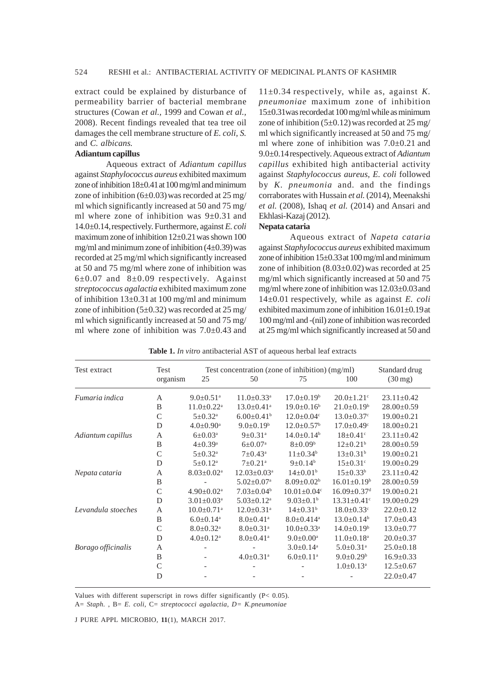extract could be explained by disturbance of permeability barrier of bacterial membrane structures (Cowan *et al.,* 1999 and Cowan *et al.,* 2008). Recent findings revealed that tea tree oil damages the cell membrane structure of *E. coli, S.* and *C. albicans.*

### **Adiantum capillus**

Aqueous extract of *Adiantum capillus* against *Staphylococcus aureus* exhibited maximum zone of inhibition  $18\pm0.41$  at  $100$  mg/ml and minimum zone of inhibition  $(6\pm 0.03)$  was recorded at 25 mg/ ml which significantly increased at 50 and 75 mg/ ml where zone of inhibition was 9±0.31 and 14.0±0.14,respectively. Furthermore, against *E. coli* maximum zone of inhibition 12±0.21was shown 100 mg/ml and minimum zone of inhibition  $(4\pm 0.39)$  was recorded at 25 mg/ml which significantly increased at 50 and 75 mg/ml where zone of inhibition was  $6\pm0.07$  and  $8\pm0.09$  respectively. Against *streptococcus agalactia* exhibited maximum zone of inhibition  $13\pm0.31$  at 100 mg/ml and minimum zone of inhibition  $(5\pm 0.32)$  was recorded at 25 mg/ ml which significantly increased at 50 and 75 mg/ ml where zone of inhibition was  $7.0\pm0.43$  and

11±0.34 respectively, while as, against *K. pneumoniae* maximum zone of inhibition 15±0.31was recordedat 100 mg/ml while as minimum zone of inhibition  $(5\pm 0.12)$  was recorded at 25 mg/ ml which significantly increased at 50 and 75 mg/ ml where zone of inhibition was 7.0±0.21 and 9.0±0.14respectively. Aqueous extract of *Adiantum capillus* exhibited high antibacterial activity against *Staphylococcus aureus*, *E. coli* followed by *K. pneumonia* and*.* and the findings corraborates with Hussain *et al.* (2014), Meenakshi *et al.* (2008), Ishaq *et al.* (2014) and Ansari and Ekhlasi-Kazaj (2012).

#### **Nepata cataria**

Aqueous extract of *Napeta cataria* against *Staphylococcus aureus* exhibited maximum zone of inhibition 15±0.33at 100 mg/ml and minimum zone of inhibition  $(8.03\pm0.02)$  was recorded at 25 mg/ml which significantly increased at 50 and 75 mg/ml where zone of inhibition was 12.03±0.03and 14±0.01 respectively, while as against *E. coli* exhibited maximum zone of inhibition 16.01±0.19at 100 mg/ml and -(nil) zone of inhibition was recorded at 25 mg/ml which significantly increased at 50 and

| Test extract       | Test         | Test concentration (zone of inhibition) $(mg/ml)$ |                               |                               |                               | Standard drug     |  |
|--------------------|--------------|---------------------------------------------------|-------------------------------|-------------------------------|-------------------------------|-------------------|--|
|                    | organism     | 25                                                | 50                            | 75                            | 100                           | $(30 \text{ mg})$ |  |
| Fumaria indica     | A            | $9.0 \pm 0.51$ <sup>a</sup>                       | $11.0 \pm 0.33$ <sup>a</sup>  | $17.0 \pm 0.19^{\circ}$       | $20.0 \pm 1.21$ <sup>c</sup>  | $23.11 \pm 0.42$  |  |
|                    | B            | $11.0 \pm 0.22$ <sup>a</sup>                      | $13.0 \pm 0.41$ <sup>a</sup>  | $19.0 \pm 0.16^b$             | $21.0 \pm 0.19^b$             | $28.00 \pm 0.59$  |  |
|                    | $\mathsf{C}$ | $5 \pm 0.32^{\text{a}}$                           | $6.00 \pm 0.41$ <sup>b</sup>  | $12.0 \pm 0.04$ <sup>c</sup>  | $13.0 \pm 0.37$ <sup>c</sup>  | $19.00 \pm 0.21$  |  |
|                    | D            | $4.0 \pm 0.90^{\mathrm{a}}$                       | $9.0 \pm 0.19^b$              | $12.0 \pm 0.57$ <sup>b</sup>  | $17.0 \pm 0.49$ <sup>c</sup>  | $18.00 \pm 0.21$  |  |
| Adiantum capillus  | A            | $6 \pm 0.03^{\rm a}$                              | $9 \pm 0.31$ <sup>a</sup>     | $14.0 \pm 0.14^b$             | $18 \pm 0.41$ <sup>c</sup>    | $23.11 \pm 0.42$  |  |
|                    | B            | $4\pm 0.39^{\rm a}$                               | $6 \pm 0.07^{\text{a}}$       | $8 \pm 0.09^{\rm b}$          | $12 \pm 0.21^b$               | $28.00 \pm 0.59$  |  |
|                    | $\mathsf{C}$ | $5 \pm 0.32^{\rm a}$                              | $7 \pm 0.43^{\text{a}}$       | $11 \pm 0.34^b$               | $13 \pm 0.31^b$               | $19.00 \pm 0.21$  |  |
|                    | D            | $5 \pm 0.12^{\text{a}}$                           | $7 \pm 0.21^{\text{a}}$       | $9 \pm 0.14^b$                | $15 \pm 0.31$ <sup>c</sup>    | $19.00 \pm 0.29$  |  |
| Nepata cataria     | A            | $8.03 \pm 0.02$ <sup>a</sup>                      | $12.03 \pm 0.03$ <sup>a</sup> | $14\pm0.01^{\rm b}$           | $15 \pm 0.33^b$               | $23.11 \pm 0.42$  |  |
|                    | B            |                                                   | $5.02 \pm 0.07$ <sup>a</sup>  | $8.09 \pm 0.02^b$             | $16.01 \pm 0.19^b$            | $28.00 \pm 0.59$  |  |
|                    | $\mathsf{C}$ | $4.90 \pm 0.02^{\text{a}}$                        | $7.03 \pm 0.04^b$             | $10.01 \pm 0.04$ <sup>c</sup> | $16.09 \pm 0.37$ <sup>d</sup> | $19.00 \pm 0.21$  |  |
|                    | D            | $3.01 \pm 0.03$ <sup>a</sup>                      | $5.03 \pm 0.12$ <sup>a</sup>  | $9.03 \pm 0.1$ <sup>b</sup>   | $13.31 \pm 0.41$ <sup>c</sup> | $19.00 \pm 0.29$  |  |
| Levandula stoeches | А            | $10.0 \pm 0.71$ <sup>a</sup>                      | $12.0 \pm 0.31$ <sup>a</sup>  | $14\pm0.31^{\rm b}$           | $18.0 \pm 0.33$ <sup>c</sup>  | $22.0 \pm 0.12$   |  |
|                    | B            | $6.0 \pm 0.14$ <sup>a</sup>                       | $8.0 \pm 0.41$ <sup>a</sup>   | $8.0 \pm 0.414$ <sup>a</sup>  | $13.0 \pm 0.14^b$             | $17.0 \pm 0.43$   |  |
|                    | $\mathsf{C}$ | $8.0 \pm 0.32$ <sup>a</sup>                       | $8.0 \pm 0.31$ <sup>a</sup>   | $10.0 \pm 0.33$ <sup>a</sup>  | $14.0 \pm 0.19^b$             | $13.0 \pm 0.77$   |  |
|                    | D            | $4.0 \pm 0.12$ <sup>a</sup>                       | $8.0 \pm 0.41$ <sup>a</sup>   | $9.0 \pm 0.00^{\text{a}}$     | $11.0 \pm 0.18$ <sup>a</sup>  | $20.0 \pm 0.37$   |  |
| Borago officinalis | А            |                                                   |                               | $3.0 \pm 0.14$ <sup>a</sup>   | $5.0 \pm 0.31$ <sup>a</sup>   | $25.0 \pm 0.18$   |  |
|                    | B            |                                                   | $4.0 \pm 0.31$ <sup>a</sup>   | $6.0 \pm 0.11$ <sup>a</sup>   | $9.0 \pm 0.29^b$              | $16.9 \pm 0.33$   |  |
|                    | $\mathsf{C}$ |                                                   |                               |                               | $1.0 \pm 0.13^{\text{a}}$     | $12.5 \pm 0.67$   |  |
|                    | D            |                                                   |                               |                               |                               | $22.0 \pm 0.47$   |  |

**Table 1.** *In vitro* antibacterial AST of aqueous herbal leaf extracts

Values with different superscript in rows differ significantly (P< 0.05).

A= *Staph.* , B= *E. coli*, C= *streptococci agalactia, D= K.pneumoniae*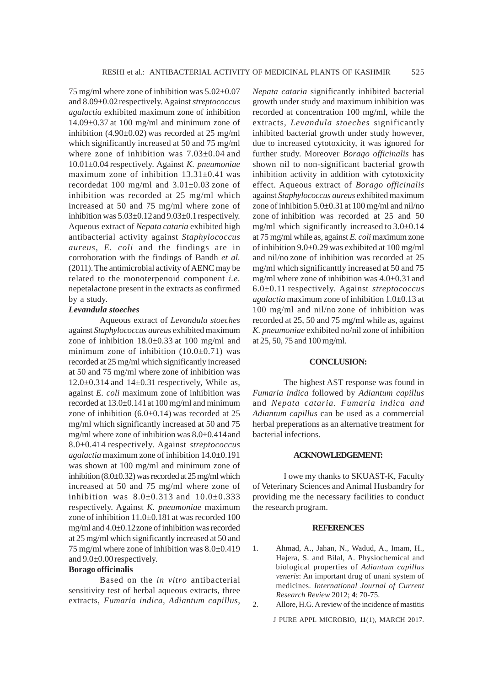75 mg/ml where zone of inhibition was  $5.02\pm0.07$ and 8.09±0.02respectively. Against *streptococcus agalactia* exhibited maximum zone of inhibition 14.09±0.37 at 100 mg/ml and minimum zone of inhibition (4.90±0.02) was recorded at 25 mg/ml which significantly increased at 50 and 75 mg/ml where zone of inhibition was 7.03±0.04 and 10.01±0.04 respectively. Against *K. pneumoniae* maximum zone of inhibition 13.31±0.41 was recordedat 100 mg/ml and 3.01±0.03 zone of inhibition was recorded at 25 mg/ml which increased at 50 and 75 mg/ml where zone of inhibition was  $5.03\pm0.12$  and  $9.03\pm0.1$  respectively. Aqueous extract of *Nepata cataria* exhibited high antibacterial activity against *Staphylococcus aureus*, *E. coli* and the findings are in corroboration with the findings of Bandh *et al.* (2011). The antimicrobial activity of AENC may be related to the monoterpenoid component *i.e.* nepetalactone present in the extracts as confirmed by a study.

### *Levandula stoeches*

Aqueous extract of *Levandula stoeches* against *Staphylococcus aureus* exhibited maximum zone of inhibition 18.0±0.33 at 100 mg/ml and minimum zone of inhibition  $(10.0\pm0.71)$  was recorded at 25 mg/ml which significantly increased at 50 and 75 mg/ml where zone of inhibition was  $12.0\pm0.314$  and  $14\pm0.31$  respectively, While as, against *E. coli* maximum zone of inhibition was recorded at 13.0±0.141at 100 mg/ml and minimum zone of inhibition  $(6.0\pm0.14)$  was recorded at 25 mg/ml which significantly increased at 50 and 75 mg/ml where zone of inhibition was 8.0±0.414and 8.0±0.414 respectively. Against *streptococcus agalactia* maximum zone of inhibition 14.0±0.191 was shown at 100 mg/ml and minimum zone of inhibition (8.0±0.32) was recorded at 25 mg/ml which increased at 50 and 75 mg/ml where zone of inhibition was  $8.0 \pm 0.313$  and  $10.0 \pm 0.333$ respectively. Against *K. pneumoniae* maximum zone of inhibition 11.0±0.181at was recorded 100 mg/ml and 4.0±0.12zone of inhibition was recorded at 25 mg/ml which significantly increased at 50 and 75 mg/ml where zone of inhibition was 8.0±0.419 and 9.0±0.00respectively.

#### **Borago officinalis**

Based on the *in vitro* antibacterial sensitivity test of herbal aqueous extracts, three extracts, *Fumaria indica, Adiantum capillus,*

*Nepata cataria* significantly inhibited bacterial growth under study and maximum inhibition was recorded at concentration 100 mg/ml, while the extracts, *Levandula stoeches* significantly inhibited bacterial growth under study however, due to increased cytotoxicity, it was ignored for further study. Moreover *Borago officinalis* has shown nil to non-significant bacterial growth inhibition activity in addition with cytotoxicity effect. Aqueous extract of *Borago officinalis* against *Staphylococcus aureus* exhibited maximum zone of inhibition 5.0±0.31at 100 mg/ml and nil/no zone of inhibition was recorded at 25 and 50 mg/ml which significantly increased to  $3.0\pm0.14$ at 75 mg/ml while as, against *E. coli* maximum zone of inhibition  $9.0\pm0.29$  was exhibited at 100 mg/ml and nil/no zone of inhibition was recorded at 25 mg/ml which significanttly increased at 50 and 75 mg/ml where zone of inhibition was 4.0±0.31 and 6.0±0.11 respectively. Against *streptococcus agalactia* maximum zone of inhibition 1.0±0.13 at 100 mg/ml and nil/no zone of inhibition was recorded at 25, 50 and 75 mg/ml while as, against *K. pneumoniae* exhibited no/nil zone of inhibition at 25, 50, 75 and 100 mg/ml.

#### **CONCLUSION:**

The highest AST response was found in *Fumaria indica* followed by *Adiantum capillus* and *Nepata cataria. Fumaria indica and Adiantum capillus* can be used as a commercial herbal preperations as an alternative treatment for bacterial infections.

#### **ACKNOWLEDGEMENT:**

I owe my thanks to SKUAST-K, Faculty of Veterinary Sciences and Animal Husbandry for providing me the necessary facilities to conduct the research program.

#### **REFERENCES**

- 1. Ahmad, A., Jahan, N., Wadud, A., Imam, H., Hajera, S. and Bilal, A. Physiochemical and biological properties of *Adiantum capillus veneris*: An important drug of unani system of medicines. *International Journal of Current Research Review* 2012; **4**: 70-75.
- 2. Allore, H.G. A review of the incidence of mastitis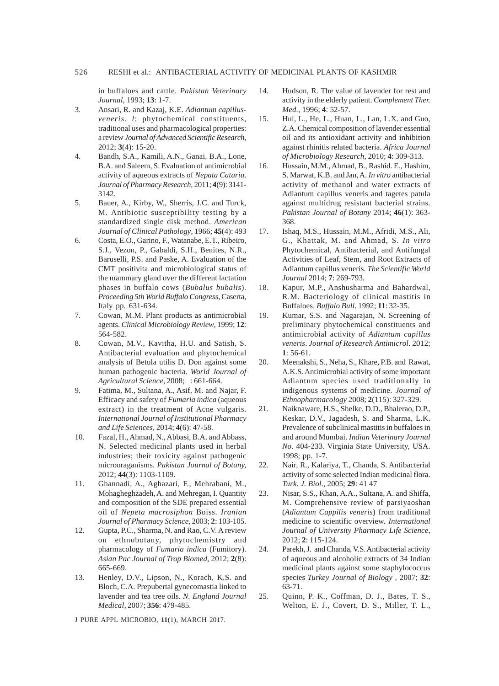in buffaloes and cattle. *Pakistan Veterinary Journal,* 1993; **13**: 1-7.

- 3. Ansari, R. and Kazaj, K.E. *Adiantum capillusveneris. l*: phytochemical constituents, traditional uses and pharmacological properties: a review *Journal of Advanced Scientific Research,* 2012; **3**(4): 15-20.
- 4. Bandh, S.A., Kamili, A.N., Ganai, B.A., Lone, B.A. and Saleem, S. Evaluation of antimicrobial activity of aqueous extracts of *Nepata Cataria*. *Journal of Pharmacy Research,* 2011; **4**(9): 3141- 3142.
- 5. Bauer, A., Kirby, W., Sherris, J.C. and Turck, M. Antibiotic susceptibility testing by a standardized single disk method. *American Journal of Clinical Pathology*, 1966; **45**(4): 493
- 6. Costa, E.O., Garino, F., Watanabe, E.T., Ribeiro, S.J., Vezon, P., Gabaldi, S.H., Benites, N.R., Baruselli, P.S. and Paske, A. Evaluation of the CMT positivita and microbiological status of the mammary gland over the different lactation phases in buffalo cows (*Bubalus bubalis*)*. Proceeding 5th World Buffalo Congress*, Caserta, Italy pp. 631-634.
- 7. Cowan, M.M. Plant products as antimicrobial agents. *Clinical Microbiology Review*, 1999; **12**: 564-582.
- 8. Cowan, M.V., Kavitha, H.U. and Satish, S. Antibacterial evaluation and phytochemical analysis of Betula utilis D. Don against some human pathogenic bacteria. *World Journal of Agricultural Science*, 2008; **4**: 661-664.
- 9. Fatima, M., Sultana, A., Asif, M. and Najar, F. Efficacy and safety of *Fumaria indica* (aqueous extract) in the treatment of Acne vulgaris. *International Journal of Institutional Pharmacy and Life Sciences,* 2014; **4**(6): 47-58.
- 10. Fazal, H., Ahmad, N., Abbasi, B.A. and Abbass, N. Selected medicinal plants used in herbal industries; their toxicity against pathogenic microoraganisms*. Pakistan Journal of Botany,* 2012; **44**(3): 1103-1109.
- 11. Ghannadi, A., Aghazari, F., Mehrabani, M., Mohagheghzadeh, A. and Mehregan, I. Quantity and composition of the SDE prepared essential oil of *Nepeta macrosiphon* Boiss. *Iranian Journal of Pharmacy Science,* 2003; **2**: 103-105.
- 12. Gupta, P.C., Sharma, N. and Rao, C.V. A review on ethnobotany, phytochemistry and pharmacology of *Fumaria indica* (Fumitory). *Asian Pac Journal of Trop Biomed,* 2012; **2**(8): 665-669.
- 13. Henley, D.V., Lipson, N., Korach, K.S. and Bloch, C.A. Prepubertal gynecomastia linked to lavender and tea tree oils. *N. England Journal Medical,* 2007; **356**: 479-485.

- 14. Hudson, R. The value of lavender for rest and activity in the elderly patient. *Complement Ther. Med.*, 1996; **4**: 52-57.
- 15. Hui, L., He, L., Huan, L., Lan, L.X. and Guo, Z.A. Chemical composition of lavender essential oil and its antioxidant activity and inhibition against rhinitis related bacteria. *Africa Journal of Microbiology Research,* 2010; **4**: 309-313.
- 16. Hussain, M.M., Ahmad, B., Rashid. E., Hashim, S. Marwat, K.B. and Jan, A. *In vitro* antibacterial activity of methanol and water extracts of Adiantum capillus veneris and tagetes patula against multidrug resistant bacterial strains. *Pakistan Journal of Botany* 2014; **46**(1): 363- 368.
- 17. Ishaq, M.S., Hussain, M.M., Afridi, M.S., Ali, G., Khattak, M. and Ahmad, S. *In vitro* Phytochemical, Antibacterial, and Antifungal Activities of Leaf, Stem, and Root Extracts of Adiantum capillus veneris. *The Scientific World Journal* 2014; **7**: 269-793.
- 18. Kapur, M.P., Anshusharma and Bahardwal, R.M. Bacteriology of clinical mastitis in Buffaloes. *Buffalo Bull*. 1992; **11**: 32-35.
- 19. Kumar, S.S. and Nagarajan, N. Screening of preliminary phytochemical constituents and antimicrobial activity of *Adiantum capillus veneris*. *Journal of Research Antimicrol.* 2012; **1**: 56-61.
- 20. Meenakshi, S., Neha, S., Khare, P.B. and Rawat, A.K.S. Antimicrobial activity of some important Adiantum species used traditionally in indigenous systems of medicine. *Journal of Ethnopharmacology* 2008; **2**(115): 327-329.
- 21. Naiknaware, H.S., Shelke, D.D., Bhalerao, D.P., Keskar, D.V., Jagadesh, S. and Sharma, L.K. Prevalence of subclinical mastitis in buffaloes in and around Mumbai. *Indian Veterinary Journal No.* 404-233. Virginia State University, USA. 1998; pp. 1-7.
- 22. Nair, R., Kalariya, T., Chanda, S. Antibacterial activity of some selected Indian medicinal flora. *Turk. J. Biol*., 2005; **29**: 41 47
- 23. Nisar, S.S., Khan, A.A., Sultana, A. and Shiffa, M. Comprehensive review of parsiyaoshan (*Adiantum Cappilis veneris*) from traditional medicine to scientific overview*. International Journal of University Pharmacy Life Science,* 2012; **2**: 115-124.
- 24. Parekh, J. and Chanda, V.S. Antibacterial activity of aqueous and alcoholic extracts of 34 Indian medicinal plants against some staphylococcus species *Turkey Journal of Biology ,* 2007; **32**: 63-71.
- 25. Quinn, P. K., Coffman, D. J., Bates, T. S., Welton, E. J., Covert, D. S., Miller, T. L.,